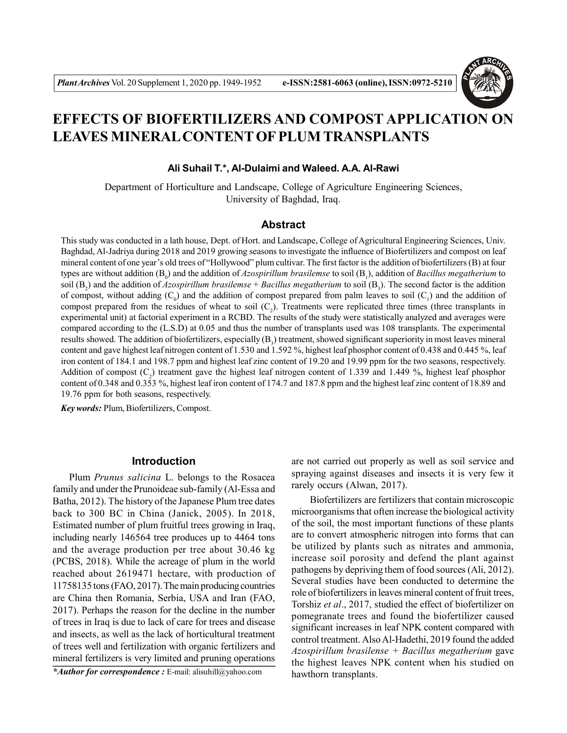

# **EFFECTS OF BIOFERTILIZERS AND COMPOST APPLICATION ON LEAVES MINERAL CONTENT OF PLUM TRANSPLANTS**

#### **Ali Suhail T.\*, Al-Dulaimi and Waleed. A.A. Al-Rawi**

Department of Horticulture and Landscape, College of Agriculture Engineering Sciences, University of Baghdad, Iraq.

## **Abstract**

This study was conducted in a lath house, Dept. of Hort. and Landscape, College of Agricultural Engineering Sciences, Univ. Baghdad, Al-Jadriya during 2018 and 2019 growing seasons to investigate the influence of Biofertilizers and compost on leaf mineral content of one year's old trees of "Hollywood" plum cultivar. The first factor is the addition of biofertilizers (B) at four types are without addition (B<sub>0</sub>) and the addition of *Azospirillum brasilemse t*o soil (B<sub>1</sub>), addition of *Bacillus megatherium t*o soil (B<sub>2</sub>) and the addition of *Azospirillum brasilemse* + *Bacillus megatherium* to soil (B<sub>3</sub>). The second factor is the addition of compost, without adding  $(C_0)$  and the addition of compost prepared from palm leaves to soil  $(C_1)$  and the addition of compost prepared from the residues of wheat to soil  $(C_2)$ . Treatments were replicated three times (three transplants in experimental unit) at factorial experiment in a RCBD. The results of the study were statistically analyzed and averages were compared according to the (L.S.D) at 0.05 and thus the number of transplants used was 108 transplants. The experimental results showed. The addition of biofertilizers, especially  $(B_3)$  treatment, showed significant superiority in most leaves mineral content and gave highest leaf nitrogen content of 1.530 and 1.592 %, highest leaf phosphor content of 0.438 and 0.445 %, leaf iron content of 184.1 and 198.7 ppm and highest leaf zinc content of 19.20 and 19.99 ppm for the two seasons, respectively. Addition of compost  $(C_2)$  treatment gave the highest leaf nitrogen content of 1.339 and 1.449 %, highest leaf phosphor content of 0.348 and 0.353 %, highest leaf iron content of 174.7 and 187.8 ppm and the highest leaf zinc content of 18.89 and 19.76 ppm for both seasons, respectively.

*Key words:* Plum, Biofertilizers, Compost.

#### **Introduction**

Plum *Prunus salicina* L. belongs to the Rosacea family and under the Prunoideae sub-family (Al-Essa and Batha, 2012). The history of the Japanese Plum tree dates back to 300 BC in China (Janick, 2005). In 2018, Estimated number of plum fruitful trees growing in Iraq, including nearly 146564 tree produces up to 4464 tons and the average production per tree about 30.46 kg (PCBS, 2018). While the acreage of plum in the world reached about 2619471 hectare, with production of 11758135 tons (FAO, 2017). The main producing countries are China then Romania, Serbia, USA and Iran (FAO, 2017). Perhaps the reason for the decline in the number of trees in Iraq is due to lack of care for trees and disease and insects, as well as the lack of horticultural treatment of trees well and fertilization with organic fertilizers and mineral fertilizers is very limited and pruning operations

*\*Author for correspondence :* E-mail: alisuhill@yahoo.com

are not carried out properly as well as soil service and spraying against diseases and insects it is very few it rarely occurs (Alwan, 2017).

 Biofertilizers are fertilizers that contain microscopic microorganisms that often increase the biological activity of the soil, the most important functions of these plants are to convert atmospheric nitrogen into forms that can be utilized by plants such as nitrates and ammonia, increase soil porosity and defend the plant against pathogens by depriving them of food sources (Ali, 2012). Several studies have been conducted to determine the role of biofertilizers in leaves mineral content of fruit trees, Torshiz *et al*., 2017, studied the effect of biofertilizer on pomegranate trees and found the biofertilizer caused significant increases in leaf NPK content compared with control treatment. Also Al-Hadethi, 2019 found the added *Azospirillum brasilense + Bacillus megatherium* gave the highest leaves NPK content when his studied on hawthorn transplants.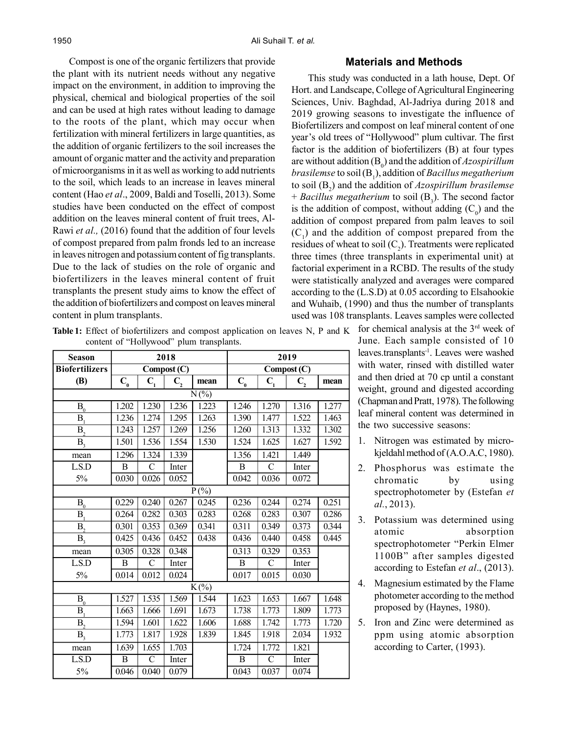Compost is one of the organic fertilizers that provide the plant with its nutrient needs without any negative impact on the environment, in addition to improving the physical, chemical and biological properties of the soil and can be used at high rates without leading to damage to the roots of the plant, which may occur when fertilization with mineral fertilizers in large quantities, as the addition of organic fertilizers to the soil increases the amount of organic matter and the activity and preparation of microorganisms in it as well as working to add nutrients to the soil, which leads to an increase in leaves mineral content (Hao *et al*., 2009, Baldi and Toselli, 2013). Some studies have been conducted on the effect of compost addition on the leaves mineral content of fruit trees, Al-Rawi *et al.,* (2016) found that the addition of four levels of compost prepared from palm fronds led to an increase in leaves nitrogen and potassium content of fig transplants. Due to the lack of studies on the role of organic and biofertilizers in the leaves mineral content of fruit transplants the present study aims to know the effect of the addition of biofertilizers and compost on leaves mineral content in plum transplants.

#### **Materials and Methods**

This study was conducted in a lath house, Dept. Of Hort. and Landscape, College of Agricultural Engineering Sciences, Univ. Baghdad, Al-Jadriya during 2018 and 2019 growing seasons to investigate the influence of Biofertilizers and compost on leaf mineral content of one year's old trees of "Hollywood" plum cultivar. The first factor is the addition of biofertilizers (B) at four types are without addition (B<sup>0</sup> ) and the addition of *Azospirillum brasilemse* to soil (B<sup>1</sup> ), addition of *Bacillus megatherium* to soil (B<sup>2</sup> ) and the addition of *Azospirillum brasilemse* + *Bacillus megatherium* to soil (B<sub>3</sub>). The second factor is the addition of compost, without adding  $(C_0)$  and the addition of compost prepared from palm leaves to soil  $(C_1)$  and the addition of compost prepared from the residues of wheat to soil  $(C_2)$ . Treatments were replicated three times (three transplants in experimental unit) at factorial experiment in a RCBD. The results of the study were statistically analyzed and averages were compared according to the (L.S.D) at 0.05 according to Elsahookie and Wuhaib, (1990) and thus the number of transplants used was 108 transplants. Leaves samples were collected

June. Each sample consisted of 10 leaves.transplants-1. Leaves were washed with water, rinsed with distilled water and then dried at 70 cp until a constant weight, ground and digested according (Chapman and Pratt, 1978). The following leaf mineral content was determined in the two successive seasons:

- 1. Nitrogen was estimated by microkjeldahl method of (A.O.A.C, 1980).
- 2. Phosphorus was estimate the chromatic by using spectrophotometer by (Estefan *et al.*, 2013).
- 3. Potassium was determined using atomic absorption spectrophotometer "Perkin Elmer 1100B" after samples digested according to Estefan *et al*., (2013).
- 4. Magnesium estimated by the Flame photometer according to the method proposed by (Haynes, 1980).
- 5. Iron and Zinc were determined as ppm using atomic absorption according to Carter, (1993).

**Table 1:** Effect of biofertilizers and compost application on leaves N, P and K for chemical analysis at the  $3<sup>rd</sup>$  week of content of "Hollywood" plum transplants.

| Season                      |                              |                  | 2018             |       | 2019                         |                  |                  |       |  |  |  |  |
|-----------------------------|------------------------------|------------------|------------------|-------|------------------------------|------------------|------------------|-------|--|--|--|--|
| <b>Biofertilizers</b>       | Compost (C)                  |                  |                  |       | Compost (C)                  |                  |                  |       |  |  |  |  |
| <b>(B)</b>                  | $\mathbf{C}_{_{\mathbf{0}}}$ | $\mathbf{C}_{1}$ | $\mathbf{C}_{2}$ | mean  | $\mathbf{C}_{_{\mathbf{0}}}$ | $\mathbf{C}_{1}$ | $\mathbf{C}_{2}$ | mean  |  |  |  |  |
| $\overline{\mathrm{N}}$ (%) |                              |                  |                  |       |                              |                  |                  |       |  |  |  |  |
| $B_0$                       | 1.202                        | 1.230            | 1.236            | 1.223 | 1.246                        | 1.270            | 1.316            | 1.277 |  |  |  |  |
| B <sub>1</sub>              | 1.236                        | 1.274            | 1.295            | 1.263 | 1.390                        | 1.477            | 1.522            | 1.463 |  |  |  |  |
| B <sub>2</sub>              | 1.243                        | 1.257            | 1.269            | 1.256 | 1.260                        | 1.313            | 1.332            | 1.302 |  |  |  |  |
| B <sub>3</sub>              | 1.501                        | 1.536            | 1.554            | 1.530 | 1.524                        | 1.625            | 1.627            | 1.592 |  |  |  |  |
| mean                        | 1.296                        | 1.324            | 1.339            |       | 1.356                        | 1.421            | 1.449            |       |  |  |  |  |
| LS.D                        | B                            | C                | Inter            |       | B                            | C                | Inter            |       |  |  |  |  |
| 5%                          | 0.030                        | 0.026            | 0.052            |       | 0.042                        | 0.036            | 0.072            |       |  |  |  |  |
| $\overline{P(\%)}$          |                              |                  |                  |       |                              |                  |                  |       |  |  |  |  |
| $B_0$                       | 0.229                        | 0.240            | 0.267            | 0.245 | 0.236                        | 0.244            | 0.274            | 0.251 |  |  |  |  |
| B <sub>1</sub>              | 0.264                        | 0.282            | 0.303            | 0.283 | 0.268                        | 0.283            | 0.307            | 0.286 |  |  |  |  |
| B <sub>2</sub>              | 0.301                        | 0.353            | 0.369            | 0.341 | 0.311                        | 0.349            | 0.373            | 0.344 |  |  |  |  |
| B <sub>3</sub>              | 0.425                        | 0.436            | 0.452            | 0.438 | 0.436                        | 0.440            | 0.458            | 0.445 |  |  |  |  |
| mean                        | 0.305                        | 0.328            | 0.348            |       | 0.313                        | 0.329            | 0.353            |       |  |  |  |  |
| LSD                         | B                            | $\mathcal{C}$    | Inter            |       | B                            | $\mathcal{C}$    | Inter            |       |  |  |  |  |
| 5%                          | 0.014                        | 0.012            | 0.024            |       | 0.017                        | 0.015            | 0.030            |       |  |  |  |  |
| $K(\%)$                     |                              |                  |                  |       |                              |                  |                  |       |  |  |  |  |
| $B_0$                       | 1.527                        | 1.535            | 1.569            | 1.544 | 1.623                        | 1.653            | 1.667            | 1.648 |  |  |  |  |
| B <sub>1</sub>              | 1.663                        | 1.666            | 1.691            | 1.673 | 1.738                        | 1.773            | 1.809            | 1.773 |  |  |  |  |
| B <sub>2</sub>              | 1.594                        | 1.601            | 1.622            | 1.606 | 1.688                        | 1.742            | 1.773            | 1.720 |  |  |  |  |
| $B_3$                       | 1.773                        | 1.817            | 1.928            | 1.839 | 1.845                        | 1.918            | 2.034            | 1.932 |  |  |  |  |
| mean                        | 1.639                        | 1.655            | 1.703            |       | 1.724                        | 1.772            | 1.821            |       |  |  |  |  |
| LS.D                        | B                            | $\mathcal{C}$    | Inter            |       | B                            | $\mathcal{C}$    | Inter            |       |  |  |  |  |
| 5%                          | 0.046                        | 0.040            | 0.079            |       | 0.043                        | 0.037            | 0.074            |       |  |  |  |  |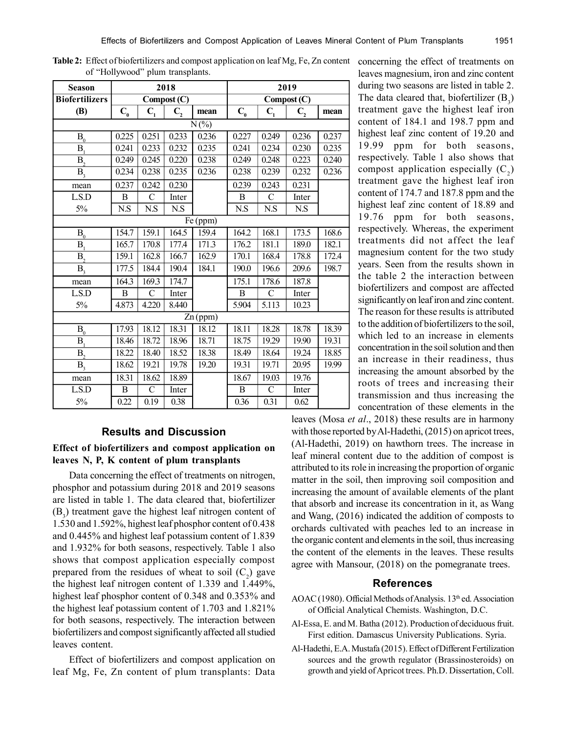| <b>Season</b>             |                              |                      | 2018             |       | 2019                         |                  |                  |       |  |  |  |  |  |
|---------------------------|------------------------------|----------------------|------------------|-------|------------------------------|------------------|------------------|-------|--|--|--|--|--|
| <b>Biofertilizers</b>     |                              |                      | Compost (C)      |       | Compost (C)                  |                  |                  |       |  |  |  |  |  |
| <b>(B)</b>                | $\mathbf{C}_{_{\mathbf{0}}}$ | $\bar{\mathbf{C}}_1$ | $\mathbf{C}_{2}$ | mean  | $\mathbf{C}_{_{\mathbf{0}}}$ | $\mathbf{C}_{1}$ | $\mathbf{C}_{2}$ | mean  |  |  |  |  |  |
| $N(\%)$                   |                              |                      |                  |       |                              |                  |                  |       |  |  |  |  |  |
| $\mathbf{B}_\mathrm{0}$   | 0.225                        | 0.251                | 0.233            | 0.236 | 0.227                        | 0.249            | 0.236            | 0.237 |  |  |  |  |  |
| $\overline{\mathbf{B}}_1$ | 0.241                        | 0.233                | 0.232            | 0.235 | 0.241                        | 0.234            | 0.230            | 0.235 |  |  |  |  |  |
| B <sub>2</sub>            | 0.249                        | 0.245                | 0.220            | 0.238 | 0.249                        | 0.248            | 0.223            | 0.240 |  |  |  |  |  |
| B <sub>3</sub>            | 0.234                        | 0.238                | 0.235            | 0.236 | 0.238                        | 0.239            | 0.232            | 0.236 |  |  |  |  |  |
| mean                      | 0.237                        | 0.242                | 0.230            |       | 0.239                        | 0.243            | 0.231            |       |  |  |  |  |  |
| LS.D                      | B                            | $\mathcal{C}$        | Inter            |       | B                            | $\mathcal{C}$    | Inter            |       |  |  |  |  |  |
| 5%                        | N.S                          | N.S                  | N.S              |       | N.S                          | N.S              | N.S              |       |  |  |  |  |  |
| Fe (ppm)                  |                              |                      |                  |       |                              |                  |                  |       |  |  |  |  |  |
| $B_0$                     | 154.7                        | 159.1                | 164.5            | 159.4 | 164.2                        | 168.1            | 173.5            | 168.6 |  |  |  |  |  |
| B <sub>1</sub>            | 165.7                        | 170.8                | 177.4            | 171.3 | 176.2                        | 181.1            | 189.0            | 182.1 |  |  |  |  |  |
| B <sub>2</sub>            | 159.1                        | 162.8                | 166.7            | 162.9 | 170.1                        | 168.4            | 178.8            | 172.4 |  |  |  |  |  |
| $\bar{B}_3$               | 177.5                        | 184.4                | 190.4            | 184.1 | 190.0                        | 196.6            | 209.6            | 198.7 |  |  |  |  |  |
| mean                      | 164.3                        | 169.3                | 174.7            |       | 175.1                        | 178.6            | 187.8            |       |  |  |  |  |  |
| LS.D                      | B                            | $\mathcal{C}$        | Inter            |       | B                            | C                | Inter            |       |  |  |  |  |  |
| 5%                        | 4.873                        | 4.220                | 8.440            |       | 5.904                        | 5.113            | 10.23            |       |  |  |  |  |  |
| Zn (ppm)                  |                              |                      |                  |       |                              |                  |                  |       |  |  |  |  |  |
| $B_0$                     | 17.93                        | 18.12                | 18.31            | 18.12 | 18.11                        | 18.28            | 18.78            | 18.39 |  |  |  |  |  |
| B <sub>1</sub>            | 18.46                        | 18.72                | 18.96            | 18.71 | 18.75                        | 19.29            | 19.90            | 19.31 |  |  |  |  |  |
| B <sub>2</sub>            | 18.22                        | 18.40                | 18.52            | 18.38 | 18.49                        | 18.64            | 19.24            | 18.85 |  |  |  |  |  |
| B <sub>3</sub>            | 18.62                        | 19.21                | 19.78            | 19.20 | 19.31                        | 19.71            | 20.95            | 19.99 |  |  |  |  |  |
| mean                      | 18.31                        | 18.62                | 18.89            |       | 18.67                        | 19.03            | 19.76            |       |  |  |  |  |  |
| LS.D                      | $\, {\bf B}$                 | $\mathcal{C}$        | Inter            |       | B                            | $\mathcal{C}$    | Inter            |       |  |  |  |  |  |
| 5%                        | 0.22                         | 0.19                 | 0.38             |       | 0.36                         | 0.31             | 0.62             |       |  |  |  |  |  |

Table 2: Effect of biofertilizers and compost application on leaf Mg, Fe, Zn content concerning the effect of treatments on of "Hollywood" plum transplants.

### **Results and Discussion**

# **Effect of biofertilizers and compost application on leaves N, P, K content of plum transplants**

Data concerning the effect of treatments on nitrogen, phosphor and potassium during 2018 and 2019 seasons are listed in table 1. The data cleared that, biofertilizer  $(B_3)$  treatment gave the highest leaf nitrogen content of 1.530 and 1.592%, highest leaf phosphor content of 0.438 and 0.445% and highest leaf potassium content of 1.839 and 1.932% for both seasons, respectively. Table 1 also shows that compost application especially compost prepared from the residues of wheat to soil  $(C_2)$  gave the highest leaf nitrogen content of 1.339 and 1.449%, highest leaf phosphor content of 0.348 and 0.353% and the highest leaf potassium content of 1.703 and 1.821% for both seasons, respectively. The interaction between biofertilizers and compost significantly affected all studied leaves content.

Effect of biofertilizers and compost application on leaf Mg, Fe, Zn content of plum transplants: Data

leaves magnesium, iron and zinc content during two seasons are listed in table 2. The data cleared that, biofertilizer  $(B_3)$ treatment gave the highest leaf iron content of 184.1 and 198.7 ppm and highest leaf zinc content of 19.20 and 19.99 ppm for both seasons, respectively. Table 1 also shows that compost application especially  $(C_2)$ treatment gave the highest leaf iron content of 174.7 and 187.8 ppm and the highest leaf zinc content of 18.89 and 19.76 ppm for both seasons, respectively. Whereas, the experiment treatments did not affect the leaf magnesium content for the two study years. Seen from the results shown in the table 2 the interaction between biofertilizers and compost are affected significantly on leaf iron and zinc content. The reason for these results is attributed to the addition of biofertilizers to the soil, which led to an increase in elements concentration in the soil solution and then an increase in their readiness, thus increasing the amount absorbed by the roots of trees and increasing their transmission and thus increasing the concentration of these elements in the

leaves (Mosa *et al*., 2018) these results are in harmony with those reported by Al-Hadethi, (2015) on apricot trees, (Al-Hadethi, 2019) on hawthorn trees. The increase in leaf mineral content due to the addition of compost is attributed to its role in increasing the proportion of organic matter in the soil, then improving soil composition and increasing the amount of available elements of the plant that absorb and increase its concentration in it, as Wang and Wang, (2016) indicated the addition of composts to orchards cultivated with peaches led to an increase in the organic content and elements in the soil, thus increasing the content of the elements in the leaves. These results agree with Mansour, (2018) on the pomegranate trees.

#### **References**

- AOAC (1980). Official Methods of Analysis. 13<sup>th</sup> ed. Association of Official Analytical Chemists. Washington, D.C.
- Al-Essa, E. and M. Batha (2012). Production of deciduous fruit. First edition. Damascus University Publications. Syria.
- Al-Hadethi, E.A. Mustafa (2015). Effect of Different Fertilization sources and the growth regulator (Brassinosteroids) on growth and yield of Apricot trees. Ph.D. Dissertation, Coll.